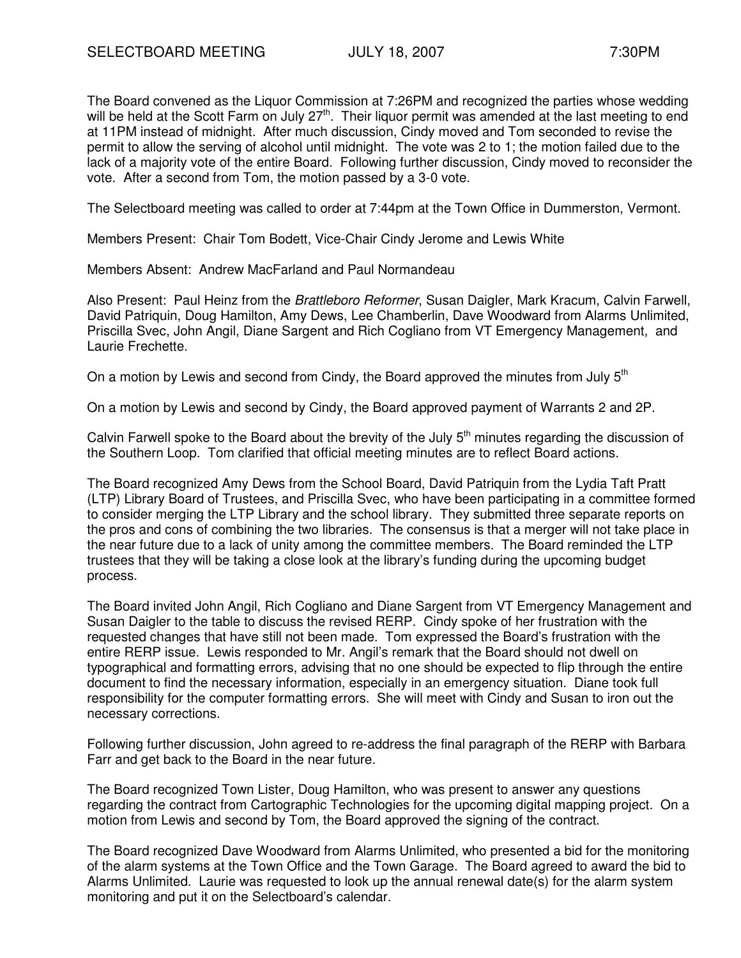The Board convened as the Liquor Commission at 7:26PM and recognized the parties whose wedding will be held at the Scott Farm on July 27<sup>th</sup>. Their liquor permit was amended at the last meeting to end at 11PM instead of midnight. After much discussion, Cindy moved and Tom seconded to revise the permit to allow the serving of alcohol until midnight. The vote was 2 to 1; the motion failed due to the lack of a majority vote of the entire Board. Following further discussion, Cindy moved to reconsider the vote. After a second from Tom, the motion passed by a 3-0 vote.

The Selectboard meeting was called to order at 7:44pm at the Town Office in Dummerston, Vermont.

Members Present: Chair Tom Bodett, Vice-Chair Cindy Jerome and Lewis White

Members Absent: Andrew MacFarland and Paul Normandeau

Also Present: Paul Heinz from the Brattleboro Reformer, Susan Daigler, Mark Kracum, Calvin Farwell, David Patriquin, Doug Hamilton, Amy Dews, Lee Chamberlin, Dave Woodward from Alarms Unlimited, Priscilla Svec, John Angil, Diane Sargent and Rich Cogliano from VT Emergency Management, and Laurie Frechette.

On a motion by Lewis and second from Cindy, the Board approved the minutes from July  $5<sup>th</sup>$ 

On a motion by Lewis and second by Cindy, the Board approved payment of Warrants 2 and 2P.

Calvin Farwell spoke to the Board about the brevity of the July  $5<sup>th</sup>$  minutes regarding the discussion of the Southern Loop. Tom clarified that official meeting minutes are to reflect Board actions.

The Board recognized Amy Dews from the School Board, David Patriquin from the Lydia Taft Pratt (LTP) Library Board of Trustees, and Priscilla Svec, who have been participating in a committee formed to consider merging the LTP Library and the school library. They submitted three separate reports on the pros and cons of combining the two libraries. The consensus is that a merger will not take place in the near future due to a lack of unity among the committee members. The Board reminded the LTP trustees that they will be taking a close look at the library's funding during the upcoming budget process.

The Board invited John Angil, Rich Cogliano and Diane Sargent from VT Emergency Management and Susan Daigler to the table to discuss the revised RERP. Cindy spoke of her frustration with the requested changes that have still not been made. Tom expressed the Board's frustration with the entire RERP issue. Lewis responded to Mr. Angil's remark that the Board should not dwell on typographical and formatting errors, advising that no one should be expected to flip through the entire document to find the necessary information, especially in an emergency situation. Diane took full responsibility for the computer formatting errors. She will meet with Cindy and Susan to iron out the necessary corrections.

Following further discussion, John agreed to re-address the final paragraph of the RERP with Barbara Farr and get back to the Board in the near future.

The Board recognized Town Lister, Doug Hamilton, who was present to answer any questions regarding the contract from Cartographic Technologies for the upcoming digital mapping project. On a motion from Lewis and second by Tom, the Board approved the signing of the contract.

The Board recognized Dave Woodward from Alarms Unlimited, who presented a bid for the monitoring of the alarm systems at the Town Office and the Town Garage. The Board agreed to award the bid to Alarms Unlimited. Laurie was requested to look up the annual renewal date(s) for the alarm system monitoring and put it on the Selectboard's calendar.